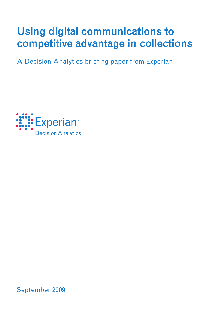# Using digital communications to competitive advantage in collections

A Decision Analytics briefing paper from Experian



September 2009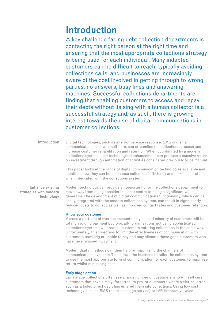# Introduction

A key challenge facing debt collection departments is contacting the right person at the right time and ensuring that the most appropriate collections strategy is being used for each individual. Many indebted customers can be difficult to reach, typically avoiding collections calls, and businesses are increasingly aware of the cost involved in getting through to wrong parties, no answers, busy lines and answering machines. Successful collections departments are finding that enabling customers to access and repay their debts without liaising with a human collector is a successful strategy and, as such, there is growing interest towards the use of digital communications in customer collections.

Digital technologies, such as interactive voice response, SMS and email communications, and web self-care, can streamline the collections process and increase customer rehabilitation and retention. When coordinated by a modern collections system, such technological enhancement can produce a massive return on investment through automation of activities considered previously to be manual. **Introduction** 

> This paper looks at the range of digital communication technologies available and identifies how they can help enhance collections efficiency and maximise profit when integrated with the collections system.

## Enhance existing strategies with modern technology

Modern technology can provide an opportunity for the collections department to move away from being considered a cost centre to being a significant value generator. The development of digital communications functionality, which can be easily integrated with the modern collections system, can result in significantly reduced costs to collect, as well as improved contact rates and customer retention.

## Know your customer

Across a portfolio of overdue accounts only a small minority of customers will be totally avoiding payment but, typically, organisations not using sophisticated collections systems will treat all customers entering collections in the same way. Unfortunately, this threatens to limit the effectiveness of communication with customers unwilling or unable to pay and may alienate those good customers who have never missed a payment.

Modern digital methods can then help by maximising the channels of communications available. This allows the business to tailor the collections system to use the most appropriate form of communication for each customer, to maximise return whilst minimising cost.

#### Early stage action

Early stage collections often see a large number of customers who will self cure, customers that have simply 'forgotten' to pay, or customers where a clerical error, such as a failed direct debit has entered them into collections. Using low cost technology such as SMS (short message service) or IVR (interactive voice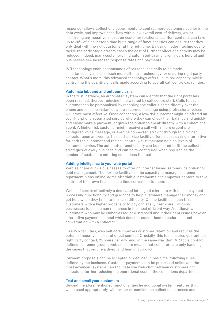response) allows collections departments to contact more customers sooner in the debt cycle, and improve cash flow with a low overall cost of delivery, whilst minimising any negative impact on customer relationships. Non-contacts can take up to 80% of a collector's time but a range of functionalities can ensure that they only deal with the right customer at the right time. By using modern technology to tackle the early stage arrears cases the cost of further collections activity may be reduced. Indeed, many customers find automated payment reminders helpful and businesses see increased response rates and payments.

IVR technology enables thousands of personalised calls to be made simultaneously and is a much more effective technology for ensuring right party contact. What's more, this advanced technology offers unlimited capacity, whilst controlling the quantity of calls made according to overall call centre capabilities.

#### Automate inbound and outbound calls

In the first instance, an automated system can identify that the right party has been reached, thereby reducing time wasted by call centre staff. Calls to each customer can be personalised by recording the caller's name directly over the phone and in some instances a pre-recorded message using professional voices will prove most effective. Once connected, a low-risk customer might be offered an over-the-phone automated service where they can check their balance and quickly and easily make a payment, or given the option to speak directly with a collections agent. A higher risk customer might receive a call with a more urgent preconfigured voice message, or even be connected straight through to a trained collector upon answering. This self-service facility offers a cost-saving alternative for both the customer and the call centre, whilst maintaining high levels of customer service. The automated functionality can be tailored to fit the collections strategies of every business and can be re-configured when required as the number of customers entering collections fluctuates.

#### Adding intelligence to your web portal

Web self care allows businesses to offer an internet based self-service option for debt management. The flexible facility has the capacity to manage customer repayment plans online, agree affordable instalments and empower debtors to take control of their own finances at a time convenient to them.

Web self care is effectively a dedicated intelligent microsite with online payment processing functionality and guidance to help customers manage their money and get help when they fall into financial difficulty. Online facilities mean that customers with a higher propensity to pay can easily "self-cure", allowing businesses to use human resources in the most efficient way. Additionally, customers who may be embarrassed or distressed about their debt issues have an alternative payment channel which doesn't require them to endure a direct conversation with a collector.

Like IVR facilities, web self care improves customer retention and reduces the potential negative impact of direct contact. Crucially, this tool ensures guaranteed right party contact, 24 hours per day and, in the same way that IVR tools contact defined customer groups, web self care means that collectors are only handling the cases that require a direct and human approach.

Payment proposals can be accepted or declined in real time, following rules defined by the business. Customer payments can be processed online and the most advanced systems can facilitate live web chat between customers and collectors, further reducing the operational cost of the collections department.

#### Text and email your customers

Beyond the aforementioned functionalities lie additional system features that, when used appropriately, will further streamline the collections process and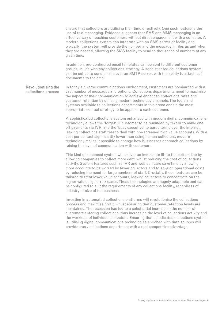ensure that collectors are utilising their time effectively. One such feature is the use of text messaging. Evidence suggests that SMS and MMS messaging is an effective way of reaching customers without direct engagement with a collector. A modern collections system can integrate with an SMS server or facility and, typically, the system will provide the number and the message in files as and when they are needed, allowing the SMS facility to send to thousands of numbers at any given time. In addition, pre-configured email templates can be sent to different customer

groups, in line with any collections strategy. A sophisticated collections system can be set up to send emails over an SMTP server, with the ability to attach pdf documents to the email.

In today's diverse communications environment, customers are bombarded with a vast number of messages and options. Collections departments need to maximise the impact of their communication to achieve enhanced collections rates and customer retention by utilising modern technology channels. The tools and systems available to collections departments in this arena enable the most appropriate contact strategy to be applied to each customer. Revolutionising the collections process

> A sophisticated collections system enhanced with modern digital communications technology allows the 'forgetful' customer to be reminded by text or to make one off payments via IVR, and the 'busy executive' to agree terms over the internet, leaving collections staff free to deal with pre-screened high value accounts. With a cost per contact significantly lower than using human collectors, modern technology makes it possible to change how businesses approach collections by raising the level of communication with customers.

This kind of enhanced system will deliver an immediate lift to the bottom line by allowing companies to collect more debt, whilst reducing the cost of collections activity. System features such as IVR and web self care save time by allowing more accounts to be worked by fewer collectors and to save on operational costs by reducing the need for large numbers of staff. Crucially, these features can be tailored to treat lower value accounts, leaving collectors to concentrate on the higher value, higher risk cases. These technologies are hugely adaptable and can be configured to suit the requirements of any collections facility, regardless of industry or size of the business.

Investing in automated collections platforms will revolutionise the collections process and maximise profit, whilst ensuring that customer retention levels are maintained. The recession has led to a substantial increase in the number of customers entering collections, thus increasing the level of collections activity and the workload of individual collectors. Ensuring that a dedicated collections system is utilising digital communications technologies enriched with data sources will provide every collections department with a real competitive advantage.